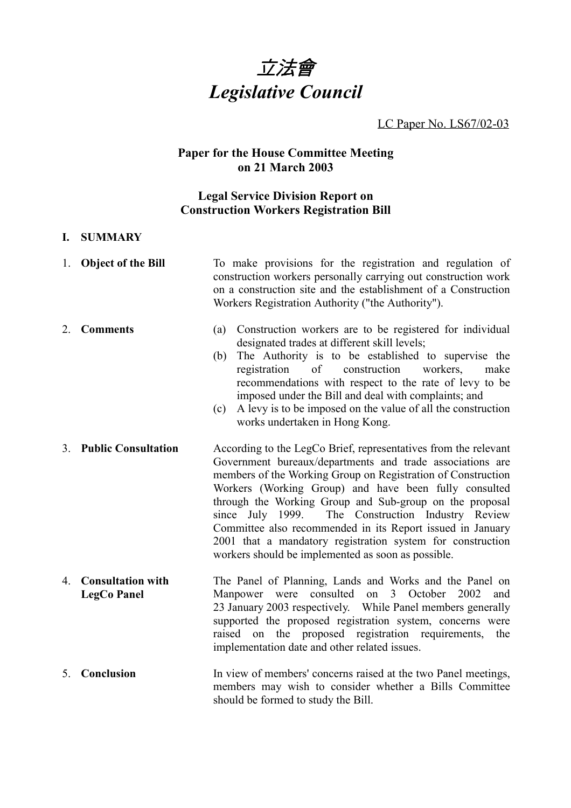

LC Paper No. LS67/02-03

### **Paper for the House Committee Meeting on 21 March 2003**

# **Legal Service Division Report on Construction Workers Registration Bill**

#### **I. SUMMARY**

|    | 1. Object of the Bill                          | To make provisions for the registration and regulation of<br>construction workers personally carrying out construction work<br>on a construction site and the establishment of a Construction<br>Workers Registration Authority ("the Authority").                                                                                                                                                                                                                                                                                                         |  |  |
|----|------------------------------------------------|------------------------------------------------------------------------------------------------------------------------------------------------------------------------------------------------------------------------------------------------------------------------------------------------------------------------------------------------------------------------------------------------------------------------------------------------------------------------------------------------------------------------------------------------------------|--|--|
| 2. | <b>Comments</b>                                | Construction workers are to be registered for individual<br>(a)<br>designated trades at different skill levels;<br>The Authority is to be established to supervise the<br>(b)<br>workers.<br>registration<br>of<br>construction<br>make<br>recommendations with respect to the rate of levy to be<br>imposed under the Bill and deal with complaints; and<br>A levy is to be imposed on the value of all the construction<br>(c)<br>works undertaken in Hong Kong.                                                                                         |  |  |
| 3. | <b>Public Consultation</b>                     | According to the LegCo Brief, representatives from the relevant<br>Government bureaux/departments and trade associations are<br>members of the Working Group on Registration of Construction<br>Workers (Working Group) and have been fully consulted<br>through the Working Group and Sub-group on the proposal<br>since July 1999.<br>The Construction Industry Review<br>Committee also recommended in its Report issued in January<br>2001 that a mandatory registration system for construction<br>workers should be implemented as soon as possible. |  |  |
| 4. | <b>Consultation with</b><br><b>LegCo Panel</b> | The Panel of Planning, Lands and Works and the Panel on<br>consulted<br>2002<br>3<br>October<br>Manpower were<br>on<br>and<br>23 January 2003 respectively. While Panel members generally<br>supported the proposed registration system, concerns were<br>raised on the proposed registration requirements,<br>the<br>implementation date and other related issues.                                                                                                                                                                                        |  |  |
| 5. | Conclusion                                     | In view of members' concerns raised at the two Panel meetings,<br>members may wish to consider whether a Bills Committee<br>should be formed to study the Bill.                                                                                                                                                                                                                                                                                                                                                                                            |  |  |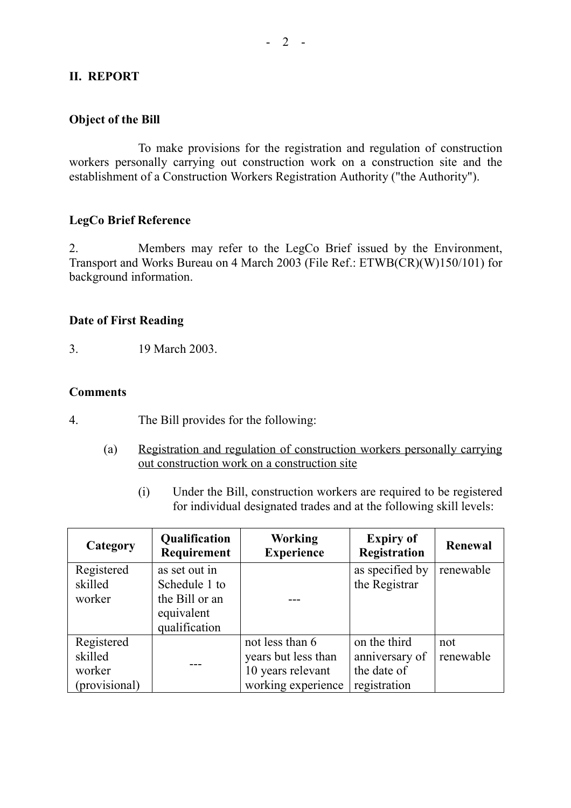### **II. REPORT**

### **Object of the Bill**

To make provisions for the registration and regulation of construction workers personally carrying out construction work on a construction site and the establishment of a Construction Workers Registration Authority ("the Authority").

### **LegCo Brief Reference**

2. Members may refer to the LegCo Brief issued by the Environment, Transport and Works Bureau on 4 March 2003 (File Ref.: ETWB(CR)(W)150/101) for background information.

### **Date of First Reading**

3. 19 March 2003.

#### **Comments**

- 4. The Bill provides for the following:
	- (a) Registration and regulation of construction workers personally carrying out construction work on a construction site
		- (i) Under the Bill, construction workers are required to be registered for individual designated trades and at the following skill levels:

| Category      | Qualification<br>Requirement | <b>Working</b><br><b>Experience</b> | <b>Expiry of</b><br><b>Registration</b> | Renewal   |
|---------------|------------------------------|-------------------------------------|-----------------------------------------|-----------|
| Registered    | as set out in                |                                     | as specified by                         | renewable |
| skilled       | Schedule 1 to                |                                     | the Registrar                           |           |
| worker        | the Bill or an               |                                     |                                         |           |
|               | equivalent                   |                                     |                                         |           |
|               | qualification                |                                     |                                         |           |
| Registered    |                              | not less than 6                     | on the third                            | not       |
| skilled       |                              | years but less than                 | anniversary of                          | renewable |
| worker        |                              | 10 years relevant                   | the date of                             |           |
| (provisional) |                              | working experience                  | registration                            |           |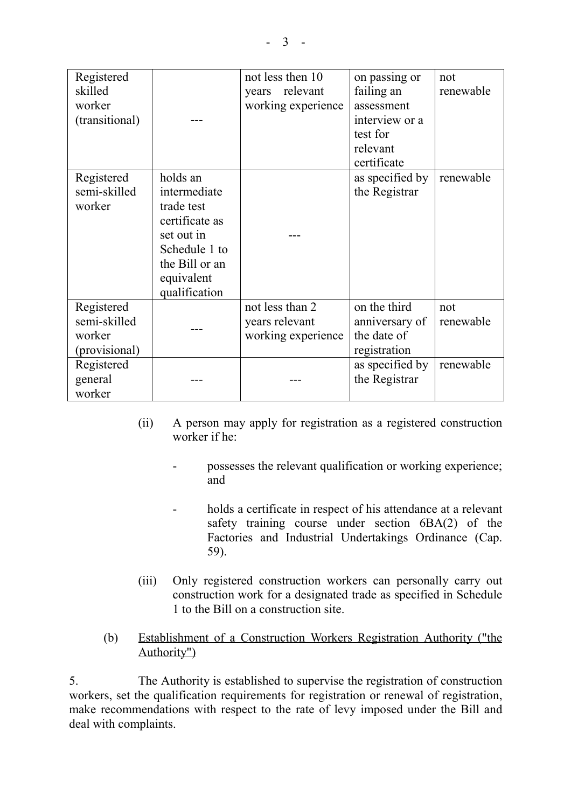| Registered     |                | not less then 10   | on passing or   | not       |
|----------------|----------------|--------------------|-----------------|-----------|
| skilled        |                | relevant<br>years  | failing an      | renewable |
| worker         |                | working experience | assessment      |           |
| (transitional) |                |                    | interview or a  |           |
|                |                |                    | test for        |           |
|                |                |                    | relevant        |           |
|                |                |                    | certificate     |           |
| Registered     | holds an       |                    | as specified by | renewable |
| semi-skilled   | intermediate   |                    | the Registrar   |           |
| worker         | trade test     |                    |                 |           |
|                | certificate as |                    |                 |           |
|                | set out in     |                    |                 |           |
|                | Schedule 1 to  |                    |                 |           |
|                | the Bill or an |                    |                 |           |
|                | equivalent     |                    |                 |           |
|                | qualification  |                    |                 |           |
| Registered     |                | not less than 2    | on the third    | not       |
| semi-skilled   |                | years relevant     | anniversary of  | renewable |
| worker         |                | working experience | the date of     |           |
| (provisional)  |                |                    | registration    |           |
| Registered     |                |                    | as specified by | renewable |
| general        |                |                    | the Registrar   |           |
| worker         |                |                    |                 |           |

- (ii) A person may apply for registration as a registered construction worker if he:
	- possesses the relevant qualification or working experience; and
	- holds a certificate in respect of his attendance at a relevant safety training course under section 6BA(2) of the Factories and Industrial Undertakings Ordinance (Cap. 59).
- (iii) Only registered construction workers can personally carry out construction work for a designated trade as specified in Schedule 1 to the Bill on a construction site.
- (b) Establishment of a Construction Workers Registration Authority ("the Authority")

5. The Authority is established to supervise the registration of construction workers, set the qualification requirements for registration or renewal of registration, make recommendations with respect to the rate of levy imposed under the Bill and deal with complaints.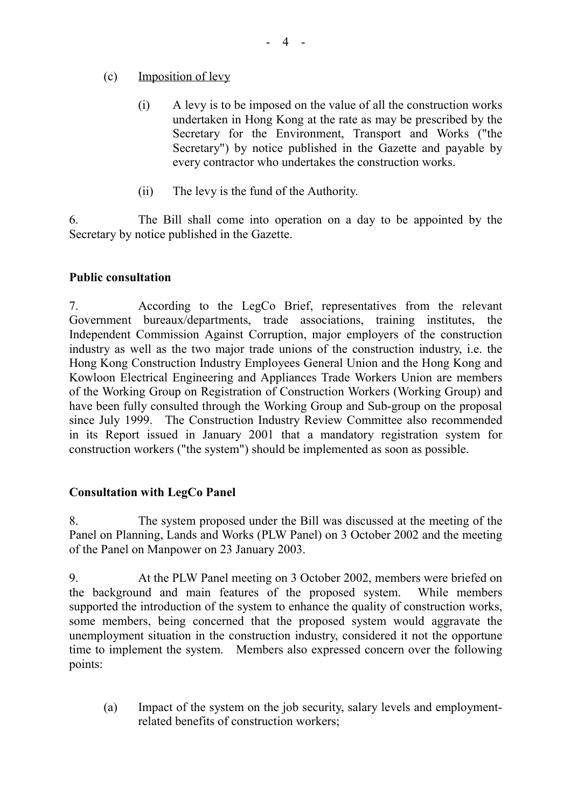# (c) Imposition of levy

- (i) A levy is to be imposed on the value of all the construction works undertaken in Hong Kong at the rate as may be prescribed by the Secretary for the Environment, Transport and Works ("the Secretary") by notice published in the Gazette and payable by every contractor who undertakes the construction works.
- (ii) The levy is the fund of the Authority.

6. The Bill shall come into operation on a day to be appointed by the Secretary by notice published in the Gazette.

# **Public consultation**

7. According to the LegCo Brief, representatives from the relevant Government bureaux/departments, trade associations, training institutes, the Independent Commission Against Corruption, major employers of the construction industry as well as the two major trade unions of the construction industry, i.e. the Hong Kong Construction Industry Employees General Union and the Hong Kong and Kowloon Electrical Engineering and Appliances Trade Workers Union are members of the Working Group on Registration of Construction Workers (Working Group) and have been fully consulted through the Working Group and Sub-group on the proposal since July 1999. The Construction Industry Review Committee also recommended in its Report issued in January 2001 that a mandatory registration system for construction workers ("the system") should be implemented as soon as possible.

# **Consultation with LegCo Panel**

8. The system proposed under the Bill was discussed at the meeting of the Panel on Planning, Lands and Works (PLW Panel) on 3 October 2002 and the meeting of the Panel on Manpower on 23 January 2003.

9. At the PLW Panel meeting on 3 October 2002, members were briefed on the background and main features of the proposed system. While members supported the introduction of the system to enhance the quality of construction works, some members, being concerned that the proposed system would aggravate the unemployment situation in the construction industry, considered it not the opportune time to implement the system. Members also expressed concern over the following points:

(a) Impact of the system on the job security, salary levels and employmentrelated benefits of construction workers;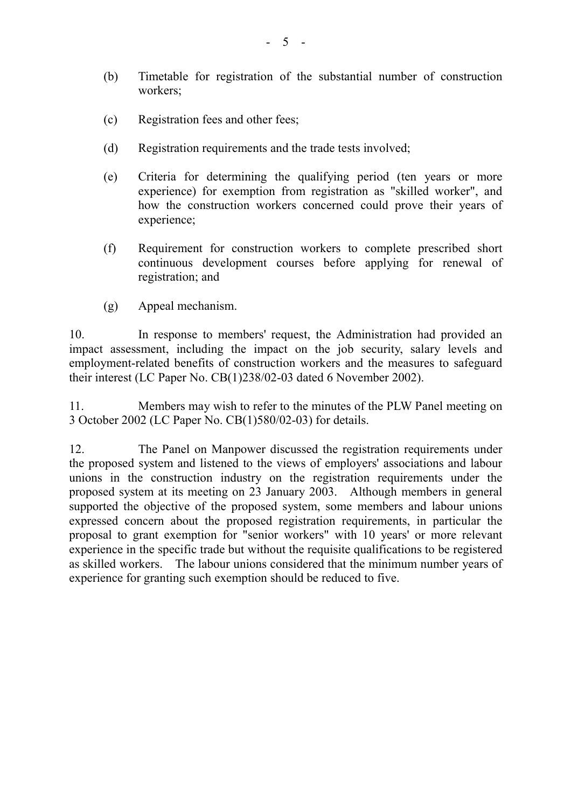- (b) Timetable for registration of the substantial number of construction workers;
- (c) Registration fees and other fees;
- (d) Registration requirements and the trade tests involved;
- (e) Criteria for determining the qualifying period (ten years or more experience) for exemption from registration as "skilled worker", and how the construction workers concerned could prove their years of experience;
- (f) Requirement for construction workers to complete prescribed short continuous development courses before applying for renewal of registration; and
- (g) Appeal mechanism.

10. In response to members' request, the Administration had provided an impact assessment, including the impact on the job security, salary levels and employment-related benefits of construction workers and the measures to safeguard their interest (LC Paper No. CB(1)238/02-03 dated 6 November 2002).

11. Members may wish to refer to the minutes of the PLW Panel meeting on 3 October 2002 (LC Paper No. CB(1)580/02-03) for details.

12. The Panel on Manpower discussed the registration requirements under the proposed system and listened to the views of employers' associations and labour unions in the construction industry on the registration requirements under the proposed system at its meeting on 23 January 2003. Although members in general supported the objective of the proposed system, some members and labour unions expressed concern about the proposed registration requirements, in particular the proposal to grant exemption for "senior workers" with 10 years' or more relevant experience in the specific trade but without the requisite qualifications to be registered as skilled workers. The labour unions considered that the minimum number years of experience for granting such exemption should be reduced to five.